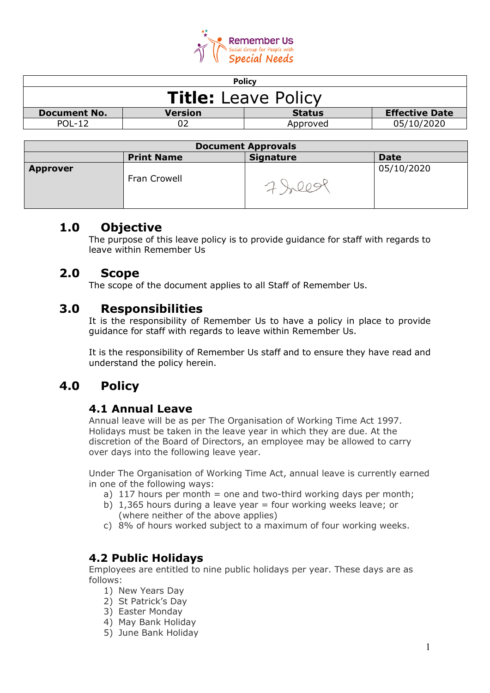

| <b>Policy</b>                                                            |          |            |  |
|--------------------------------------------------------------------------|----------|------------|--|
| <b>Title:</b> Leave Policy                                               |          |            |  |
| <b>Effective Date</b><br>Version<br><b>Status</b><br><b>Document No.</b> |          |            |  |
|                                                                          | Approved | 05/10/2020 |  |
|                                                                          |          |            |  |

| <b>Document Approvals</b> |                   |                  |             |
|---------------------------|-------------------|------------------|-------------|
|                           | <b>Print Name</b> | <b>Signature</b> | <b>Date</b> |
| <b>Approver</b>           | Fran Crowell      |                  | 05/10/2020  |

### **1.0 Objective**

The purpose of this leave policy is to provide guidance for staff with regards to leave within Remember Us

# **2.0 Scope**

The scope of the document applies to all Staff of Remember Us.

## **3.0 Responsibilities**

It is the responsibility of Remember Us to have a policy in place to provide guidance for staff with regards to leave within Remember Us.

It is the responsibility of Remember Us staff and to ensure they have read and understand the policy herein.

# **4.0 Policy**

#### **4.1 Annual Leave**

Annual leave will be as per The Organisation of Working Time Act 1997. Holidays must be taken in the leave year in which they are due. At the discretion of the Board of Directors, an employee may be allowed to carry over days into the following leave year.

Under The Organisation of Working Time Act, annual leave is currently earned in one of the following ways:

- a)  $117$  hours per month = one and two-third working days per month;
- b)  $1,365$  hours during a leave year = four working weeks leave; or (where neither of the above applies)
- c) 8% of hours worked subject to a maximum of four working weeks.

### **4.2 Public Holidays**

Employees are entitled to nine public holidays per year. These days are as follows:

- 1) New Years Day
- 2) St Patrick's Day
- 3) Easter Monday
- 4) May Bank Holiday
- 5) June Bank Holiday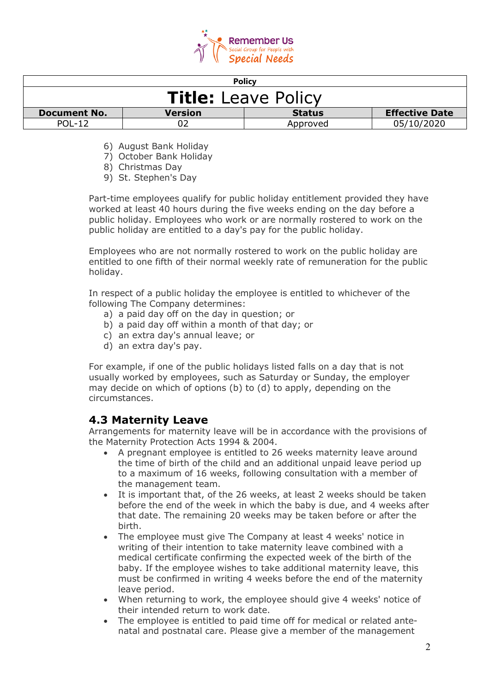

| <b>Policy</b>                                                                   |  |          |            |
|---------------------------------------------------------------------------------|--|----------|------------|
| <b>Title:</b> Leave Policy                                                      |  |          |            |
| <b>Effective Date</b><br><b>Version</b><br><b>Status</b><br><b>Document No.</b> |  |          |            |
| <b>POL-12</b>                                                                   |  | Approved | 05/10/2020 |

- 6) August Bank Holiday
- 7) October Bank Holiday

8) Christmas Day

9) St. Stephen's Day

Part-time employees qualify for public holiday entitlement provided they have worked at least 40 hours during the five weeks ending on the day before a public holiday. Employees who work or are normally rostered to work on the public holiday are entitled to a day's pay for the public holiday.

Employees who are not normally rostered to work on the public holiday are entitled to one fifth of their normal weekly rate of remuneration for the public holiday.

In respect of a public holiday the employee is entitled to whichever of the following The Company determines:

- a) a paid day off on the day in question; or
- b) a paid day off within a month of that day; or
- c) an extra day's annual leave; or
- d) an extra day's pay.

For example, if one of the public holidays listed falls on a day that is not usually worked by employees, such as Saturday or Sunday, the employer may decide on which of options (b) to (d) to apply, depending on the circumstances.

#### **4.3 Maternity Leave**

Arrangements for maternity leave will be in accordance with the provisions of the Maternity Protection Acts 1994 & 2004.

- A pregnant employee is entitled to 26 weeks maternity leave around the time of birth of the child and an additional unpaid leave period up to a maximum of 16 weeks, following consultation with a member of the management team.
- It is important that, of the 26 weeks, at least 2 weeks should be taken before the end of the week in which the baby is due, and 4 weeks after that date. The remaining 20 weeks may be taken before or after the birth.
- The employee must give The Company at least 4 weeks' notice in writing of their intention to take maternity leave combined with a medical certificate confirming the expected week of the birth of the baby. If the employee wishes to take additional maternity leave, this must be confirmed in writing 4 weeks before the end of the maternity leave period.
- When returning to work, the employee should give 4 weeks' notice of their intended return to work date.
- The employee is entitled to paid time off for medical or related antenatal and postnatal care. Please give a member of the management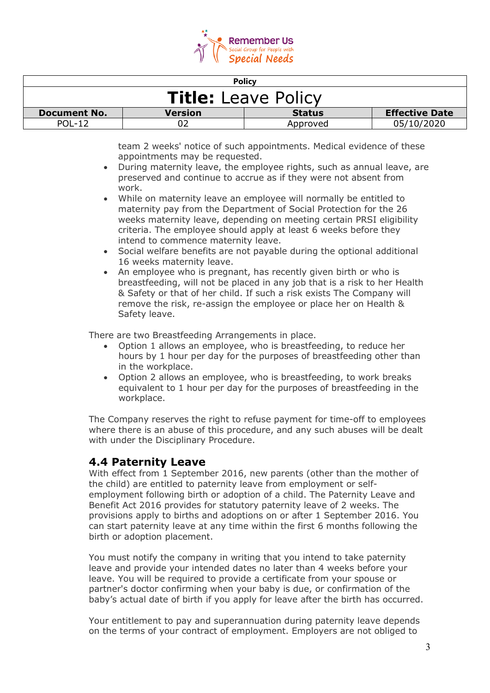

| <b>Policy</b>                                                                   |  |          |            |
|---------------------------------------------------------------------------------|--|----------|------------|
| <b>Title:</b> Leave Policy                                                      |  |          |            |
| <b>Effective Date</b><br><b>Version</b><br><b>Document No.</b><br><b>Status</b> |  |          |            |
| $POI - 12$                                                                      |  | Approved | 05/10/2020 |

team 2 weeks' notice of such appointments. Medical evidence of these appointments may be requested.

- During maternity leave, the employee rights, such as annual leave, are preserved and continue to accrue as if they were not absent from work.
- While on maternity leave an employee will normally be entitled to maternity pay from the Department of Social Protection for the 26 weeks maternity leave, depending on meeting certain PRSI eligibility criteria. The employee should apply at least 6 weeks before they intend to commence maternity leave.
- Social welfare benefits are not payable during the optional additional 16 weeks maternity leave.
- An employee who is pregnant, has recently given birth or who is breastfeeding, will not be placed in any job that is a risk to her Health & Safety or that of her child. If such a risk exists The Company will remove the risk, re-assign the employee or place her on Health & Safety leave.

There are two Breastfeeding Arrangements in place.

- Option 1 allows an employee, who is breastfeeding, to reduce her hours by 1 hour per day for the purposes of breastfeeding other than in the workplace.
- Option 2 allows an employee, who is breastfeeding, to work breaks equivalent to 1 hour per day for the purposes of breastfeeding in the workplace.

The Company reserves the right to refuse payment for time-off to employees where there is an abuse of this procedure, and any such abuses will be dealt with under the Disciplinary Procedure.

#### **4.4 Paternity Leave**

With effect from 1 September 2016, new parents (other than the mother of the child) are entitled to paternity leave from employment or selfemployment following birth or adoption of a child. The Paternity Leave and Benefit Act 2016 provides for statutory paternity leave of 2 weeks. The provisions apply to births and adoptions on or after 1 September 2016. You can start paternity leave at any time within the first 6 months following the birth or adoption placement.

You must notify the company in writing that you intend to take paternity leave and provide your intended dates no later than 4 weeks before your leave. You will be required to provide a certificate from your spouse or partner's doctor confirming when your baby is due, or confirmation of the baby's actual date of birth if you apply for leave after the birth has occurred.

Your entitlement to pay and superannuation during paternity leave depends on the terms of your contract of employment. Employers are not obliged to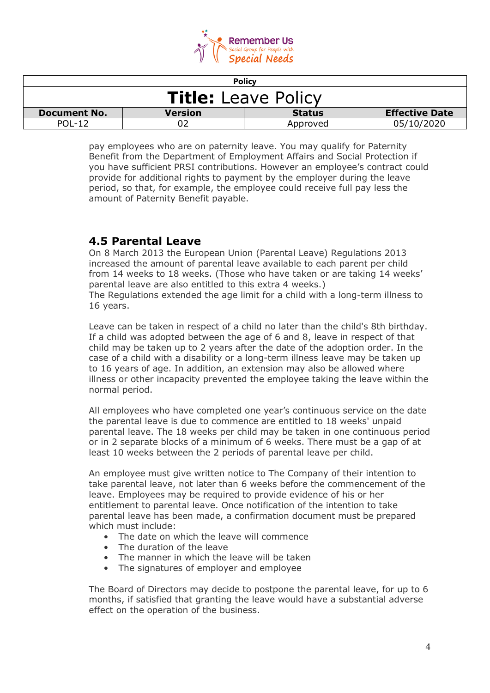

| <b>Policy</b>                                                                   |  |          |            |
|---------------------------------------------------------------------------------|--|----------|------------|
| <b>Title:</b> Leave Policy                                                      |  |          |            |
| <b>Effective Date</b><br><b>Version</b><br><b>Status</b><br><b>Document No.</b> |  |          |            |
| $POI - 12$                                                                      |  | Approved | 05/10/2020 |

pay employees who are on paternity leave. You may qualify for Paternity Benefit from the Department of Employment Affairs and Social Protection if you have sufficient PRSI contributions. However an employee's contract could provide for additional rights to payment by the employer during the leave period, so that, for example, the employee could receive full pay less the amount of Paternity Benefit payable.

#### **4.5 Parental Leave**

On 8 March 2013 the European Union (Parental Leave) Regulations 2013 increased the amount of parental leave available to each parent per child from 14 weeks to 18 weeks. (Those who have taken or are taking 14 weeks' parental leave are also entitled to this extra 4 weeks.)

The Regulations extended the age limit for a child with a long-term illness to 16 years.

Leave can be taken in respect of a child no later than the child's 8th birthday. If a child was adopted between the age of 6 and 8, leave in respect of that child may be taken up to 2 years after the date of the adoption order. In the case of a child with a disability or a long-term illness leave may be taken up to 16 years of age. In addition, an extension may also be allowed where illness or other incapacity prevented the employee taking the leave within the normal period.

All employees who have completed one year's continuous service on the date the parental leave is due to commence are entitled to 18 weeks' unpaid parental leave. The 18 weeks per child may be taken in one continuous period or in 2 separate blocks of a minimum of 6 weeks. There must be a gap of at least 10 weeks between the 2 periods of parental leave per child.

An employee must give written notice to The Company of their intention to take parental leave, not later than 6 weeks before the commencement of the leave. Employees may be required to provide evidence of his or her entitlement to parental leave. Once notification of the intention to take parental leave has been made, a confirmation document must be prepared which must include:

- The date on which the leave will commence
- The duration of the leave
- The manner in which the leave will be taken
- The signatures of employer and employee

The Board of Directors may decide to postpone the parental leave, for up to 6 months, if satisfied that granting the leave would have a substantial adverse effect on the operation of the business.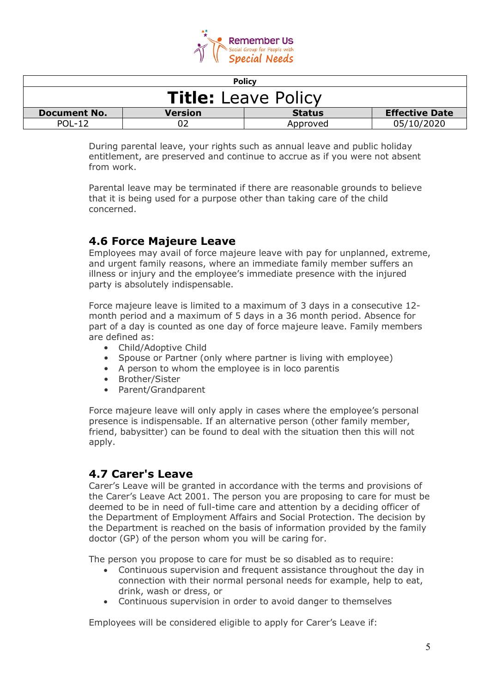

| <b>Policy</b>                                                                   |  |          |            |
|---------------------------------------------------------------------------------|--|----------|------------|
| <b>Title:</b> Leave Policy                                                      |  |          |            |
| <b>Effective Date</b><br><b>Version</b><br><b>Status</b><br><b>Document No.</b> |  |          |            |
| $POI - 12$                                                                      |  | Approved | 05/10/2020 |

During parental leave, your rights such as annual leave and public holiday entitlement, are preserved and continue to accrue as if you were not absent from work.

Parental leave may be terminated if there are reasonable grounds to believe that it is being used for a purpose other than taking care of the child concerned.

### **4.6 Force Majeure Leave**

Employees may avail of force majeure leave with pay for unplanned, extreme, and urgent family reasons, where an immediate family member suffers an illness or injury and the employee's immediate presence with the injured party is absolutely indispensable.

Force majeure leave is limited to a maximum of 3 days in a consecutive 12 month period and a maximum of 5 days in a 36 month period. Absence for part of a day is counted as one day of force majeure leave. Family members are defined as:

- Child/Adoptive Child
- Spouse or Partner (only where partner is living with employee)
- A person to whom the employee is in loco parentis
- Brother/Sister
- Parent/Grandparent

Force majeure leave will only apply in cases where the employee's personal presence is indispensable. If an alternative person (other family member, friend, babysitter) can be found to deal with the situation then this will not apply.

#### **4.7 Carer's Leave**

Carer's Leave will be granted in accordance with the terms and provisions of the Carer's Leave Act 2001. The person you are proposing to care for must be deemed to be in need of full-time care and attention by a deciding officer of the Department of Employment Affairs and Social Protection. The decision by the Department is reached on the basis of information provided by the family doctor (GP) of the person whom you will be caring for.

The person you propose to care for must be so disabled as to require:

- Continuous supervision and frequent assistance throughout the day in connection with their normal personal needs for example, help to eat, drink, wash or dress, or
- Continuous supervision in order to avoid danger to themselves

Employees will be considered eligible to apply for Carer's Leave if: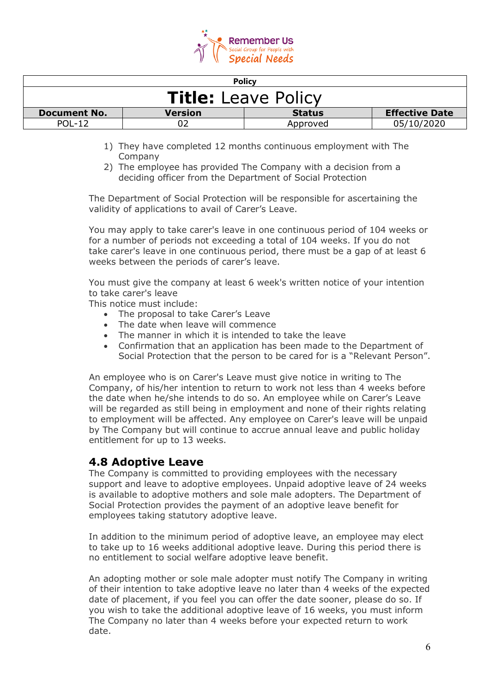

| <b>Policy</b>                                                                   |  |          |            |
|---------------------------------------------------------------------------------|--|----------|------------|
| <b>Title:</b> Leave Policy                                                      |  |          |            |
| <b>Effective Date</b><br><b>Version</b><br><b>Status</b><br><b>Document No.</b> |  |          |            |
| <b>POL-12</b>                                                                   |  | Approved | 05/10/2020 |

- 1) They have completed 12 months continuous employment with The Company
- 2) The employee has provided The Company with a decision from a deciding officer from the Department of Social Protection

The Department of Social Protection will be responsible for ascertaining the validity of applications to avail of Carer's Leave.

You may apply to take carer's leave in one continuous period of 104 weeks or for a number of periods not exceeding a total of 104 weeks. If you do not take carer's leave in one continuous period, there must be a gap of at least 6 weeks between the periods of carer's leave.

You must give the company at least 6 week's written notice of your intention to take carer's leave

This notice must include:

- The proposal to take Carer's Leave
- The date when leave will commence
- The manner in which it is intended to take the leave
- Confirmation that an application has been made to the Department of Social Protection that the person to be cared for is a "Relevant Person".

An employee who is on Carer's Leave must give notice in writing to The Company, of his/her intention to return to work not less than 4 weeks before the date when he/she intends to do so. An employee while on Carer's Leave will be regarded as still being in employment and none of their rights relating to employment will be affected. Any employee on Carer's leave will be unpaid by The Company but will continue to accrue annual leave and public holiday entitlement for up to 13 weeks.

#### **4.8 Adoptive Leave**

The Company is committed to providing employees with the necessary support and leave to adoptive employees. Unpaid adoptive leave of 24 weeks is available to adoptive mothers and sole male adopters. The Department of Social Protection provides the payment of an adoptive leave benefit for employees taking statutory adoptive leave.

In addition to the minimum period of adoptive leave, an employee may elect to take up to 16 weeks additional adoptive leave. During this period there is no entitlement to social welfare adoptive leave benefit.

An adopting mother or sole male adopter must notify The Company in writing of their intention to take adoptive leave no later than 4 weeks of the expected date of placement, if you feel you can offer the date sooner, please do so. If you wish to take the additional adoptive leave of 16 weeks, you must inform The Company no later than 4 weeks before your expected return to work date.